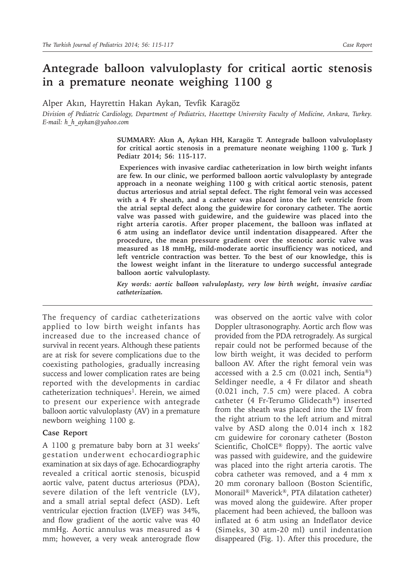## **Antegrade balloon valvuloplasty for critical aortic stenosis in a premature neonate weighing 1100 g**

Alper Akın, Hayrettin Hakan Aykan, Tevfik Karagöz

*Division of Pediatric Cardiology, Department of Pediatrics, Hacettepe University Faculty of Medicine, Ankara, Turkey. E-mail: h\_h\_aykan@yahoo.com*

> **SUMMARY: Akın A, Aykan HH, Karagöz T. Antegrade balloon valvuloplasty for critical aortic stenosis in a premature neonate weighing 1100 g. Turk J Pediatr 2014; 56: 115-117.**

> **Experiences with invasive cardiac catheterization in low birth weight infants are few. In our clinic, we performed balloon aortic valvuloplasty by antegrade approach in a neonate weighing 1100 g with critical aortic stenosis, patent ductus arteriosus and atrial septal defect. The right femoral vein was accessed with a 4 Fr sheath, and a catheter was placed into the left ventricle from the atrial septal defect along the guidewire for coronary catheter. The aortic valve was passed with guidewire, and the guidewire was placed into the right arteria carotis. After proper placement, the balloon was inflated at 6 atm using an indeflator device until indentation disappeared. After the procedure, the mean pressure gradient over the stenotic aortic valve was measured as 18 mmHg, mild-moderate aortic insufficiency was noticed, and left ventricle contraction was better. To the best of our knowledge, this is the lowest weight infant in the literature to undergo successful antegrade balloon aortic valvuloplasty.**

> *Key words: aortic balloon valvuloplasty, very low birth weight, invasive cardiac catheterization.*

The frequency of cardiac catheterizations applied to low birth weight infants has increased due to the increased chance of survival in recent years. Although these patients are at risk for severe complications due to the coexisting pathologies, gradually increasing success and lower complication rates are being reported with the developments in cardiac catheterization techniques<sup>1</sup>. Herein, we aimed to present our experience with antegrade balloon aortic valvuloplasty (AV) in a premature newborn weighing 1100 g.

## **Case Report**

A 1100 g premature baby born at 31 weeks' gestation underwent echocardiographic examination at six days of age. Echocardiography revealed a critical aortic stenosis, bicuspid aortic valve, patent ductus arteriosus (PDA), severe dilation of the left ventricle (LV), and a small atrial septal defect (ASD). Left ventricular ejection fraction (LVEF) was 34%, and flow gradient of the aortic valve was 40 mmHg. Aortic annulus was measured as 4 mm; however, a very weak anterograde flow

was observed on the aortic valve with color Doppler ultrasonography. Aortic arch flow was provided from the PDA retrogradely. As surgical repair could not be performed because of the low birth weight, it was decided to perform balloon AV. After the right femoral vein was accessed with a 2.5 cm (0.021 inch, Sentia®) Seldinger needle, a 4 Fr dilator and sheath (0.021 inch, 7.5 cm) were placed. A cobra catheter (4 Fr-Terumo Glidecath®) inserted from the sheath was placed into the LV from the right atrium to the left atrium and mitral valve by ASD along the 0.014 inch x 182 cm guidewire for coronary catheter (Boston Scientific, ChoICE® floppy). The aortic valve was passed with guidewire, and the guidewire was placed into the right arteria carotis. The cobra catheter was removed, and a 4 mm x 20 mm coronary balloon (Boston Scientific, Monorail® Maverick®, PTA dilatation catheter) was moved along the guidewire. After proper placement had been achieved, the balloon was inflated at 6 atm using an Indeflator device (Simeks, 30 atm-20 ml) until indentation disappeared (Fig. 1). After this procedure, the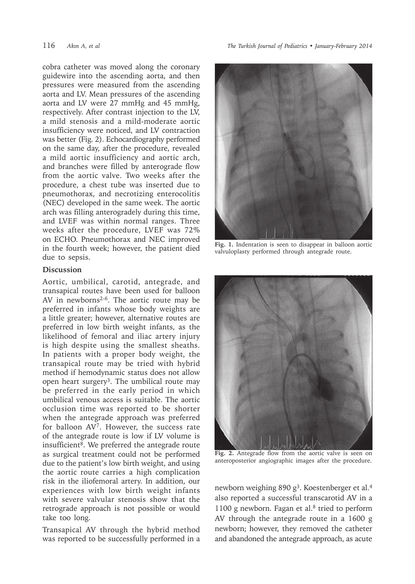cobra catheter was moved along the coronary guidewire into the ascending aorta, and then pressures were measured from the ascending aorta and LV. Mean pressures of the ascending aorta and LV were 27 mmHg and 45 mmHg, respectively. After contrast injection to the LV, a mild stenosis and a mild-moderate aortic insufficiency were noticed, and LV contraction was better (Fig. 2). Echocardiography performed on the same day, after the procedure, revealed a mild aortic insufficiency and aortic arch, and branches were filled by anterograde flow from the aortic valve. Two weeks after the procedure, a chest tube was inserted due to pneumothorax, and necrotizing enterocolitis (NEC) developed in the same week. The aortic arch was filling anterogradely during this time, and LVEF was within normal ranges. Three weeks after the procedure, LVEF was 72% on ECHO. Pneumothorax and NEC improved in the fourth week; however, the patient died due to sepsis.

## **Discussion**

Aortic, umbilical, carotid, antegrade, and transapical routes have been used for balloon AV in newborns<sup>2-6</sup>. The aortic route may be preferred in infants whose body weights are a little greater; however, alternative routes are preferred in low birth weight infants, as the likelihood of femoral and iliac artery injury is high despite using the smallest sheaths. In patients with a proper body weight, the transapical route may be tried with hybrid method if hemodynamic status does not allow open heart surgery<sup>3</sup>. The umbilical route may be preferred in the early period in which umbilical venous access is suitable. The aortic occlusion time was reported to be shorter when the antegrade approach was preferred for balloon AV7. However, the success rate of the antegrade route is low if LV volume is insufficient<sup>8</sup>. We preferred the antegrade route as surgical treatment could not be performed due to the patient's low birth weight, and using the aortic route carries a high complication risk in the iliofemoral artery. In addition, our experiences with low birth weight infants with severe valvular stenosis show that the retrograde approach is not possible or would take too long.

Transapical AV through the hybrid method was reported to be successfully performed in a

116 *Akın A, et al The Turkish Journal of Pediatrics • January-February 2014*



**Fig. 1.** Indentation is seen to disappear in balloon aortic valvuloplasty performed through antegrade route.



**Fig. 2.** Antegrade flow from the aortic valve is seen on anteroposterior angiographic images after the procedure.

newborn weighing 890  $g^3$ . Koestenberger et al.<sup>4</sup> also reported a successful transcarotid AV in a 1100 g newborn. Fagan et al.8 tried to perform AV through the antegrade route in a 1600 g newborn; however, they removed the catheter and abandoned the antegrade approach, as acute